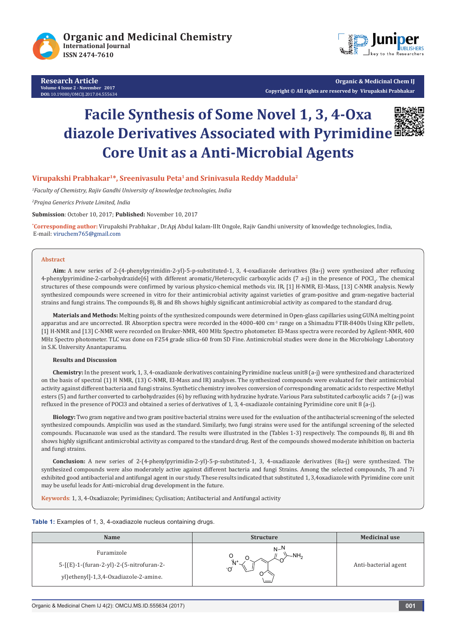

**Research Article Volume 4 Issue 2 - November 2017 DOI:** 10.19080/OMCIJ.2017.04.555634



**Organic & Medicinal Chem IJ Copyright © All rights are reserved by Virupakshi Prabhakar**

# **Facile Synthesis of Some Novel 1, 3, 4-Oxa diazole Derivatives Associated with Pyrimidine Core Unit as a Anti-Microbial Agents**



#### **Virupakshi Prabhakar1\*, Sreenivasulu Peta1 and Srinivasula Reddy Maddula2**

*1 Faculty of Chemistry, Rajiv Gandhi University of knowledge technologies, India* 

*2 Prajna Generics Private Limited, India*

**Submission**: October 10, 2017; **Published:** November 10, 2017

**\* Corresponding author:** Virupakshi Prabhakar , Dr.Apj Abdul kalam-IIIt Ongole, Rajiv Gandhi university of knowledge technologies, India, E-mail: viruchem765@gmail.com

#### **Abstract**

**Aim:** A new series of 2-(4-phenylpyrimidin-2-yl)-5-p-substituted-1, 3, 4-oxadiazole derivatives (8a-j) were synthesized after refluxing 4-phenylpyrimidine-2-carbohydrazide[6] with different aromatic/Heterocyclic carboxylic acids (7 a-j) in the presence of POCl<sub>3</sub>. The chemical structures of these compounds were confirmed by various physico-chemical methods viz. IR, [1] H-NMR, EI-Mass, [13] C-NMR analysis. Newly synthesized compounds were screened in vitro for their antimicrobial activity against varieties of gram-positive and gram-negative bacterial strains and fungi strains. The compounds 8j, 8i and 8h shows highly significant antimicrobial activity as compared to the standard drug.

**Materials and Methods:** Melting points of the synthesized compounds were determined in Open-glass capillaries using GUNA melting point apparatus and are uncorrected. IR Absorption spectra were recorded in the 4000-400  $cm<sup>-1</sup>$  range on a Shimadzu FTIR-8400s Using KBr pellets, [1] H-NMR and [13] C-NMR were recorded on Bruker-NMR, 400 MHz Spectro photometer. EI-Mass spectra were recorded by Agilent-NMR, 400 MHz Spectro photometer. TLC was done on F254 grade silica-60 from SD Fine. Antimicrobial studies were done in the Microbiology Laboratory in S.K. University Anantapuramu.

#### **Results and Discussion**

**Chemistry:** In the present work, 1, 3, 4-oxadiazole derivatives containing Pyrimidine nucleus unit8 (a-j) were synthesized and characterized on the basis of spectral (1) H NMR, (13) C-NMR, EI-Mass and IR) analyses. The synthesized compounds were evaluated for their antimicrobial activity against different bacteria and fungi strains. Synthetic chemistry involves conversion of corresponding aromatic acids to respective Methyl esters (5) and further converted to carbohydrazides (6) by refluxing with hydrazine hydrate. Various Para substituted carboxylic acids 7 (a-j) was refluxed in the presence of POCl3 and obtained a series of derivatives of 1, 3, 4-oxadiazole containing Pyrimidine core unit 8 (a-j).

**Biology:** Two gram negative and two gram positive bacterial strains were used for the evaluation of the antibacterial screening of the selected synthesized compounds. Ampicilin was used as the standard. Similarly, two fungi strains were used for the antifungal screening of the selected compounds. Flucanazole was used as the standard. The results were illustrated in the (Tables 1-3) respectively. The compounds 8j, 8i and 8h shows highly significant antimicrobial activity as compared to the standard drug. Rest of the compounds showed moderate inhibition on bacteria and fungi strains.

**Conclusion:** A new series of 2-(4-phenylpyrimidin-2-yl)-5-p-substituted-1, 3, 4-oxadiazole derivatives (8a-j) were synthesized. The synthesized compounds were also moderately active against different bacteria and fungi Strains. Among the selected compounds, 7h and 7i exhibited good antibacterial and antifungal agent in our study. These results indicated that substituted 1, 3,4oxadiazole with Pyrimidine core unit may be useful leads for Anti-microbial drug development in the future.

**Keywords**: 1, 3, 4-Oxadiazole; Pyrimidines; Cyclisation; Antibacterial and Antifungal activity

#### Table 1: Examples of 1, 3, 4-oxadiazole nucleus containing drugs.

| <b>Name</b>                                                                                                          | <b>Structure</b>           | <b>Medicinal use</b> |
|----------------------------------------------------------------------------------------------------------------------|----------------------------|----------------------|
| Furamizole<br>$5 - [(E) - 1 - (furan - 2 - yI) - 2 - (5 - nitrofuran - 2 -$<br>yl)ethenyl]-1,3,4-Oxadiazole-2-amine. | $N-N$<br>$-NH2$<br>Ô<br>'N | Anti-bacterial agent |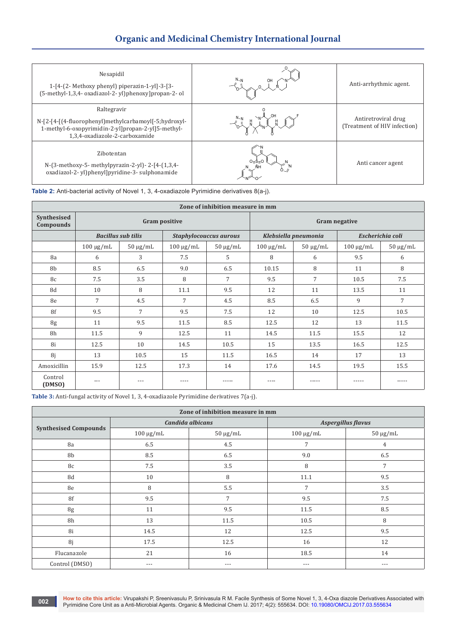## **Organic and Medicinal Chemistry International Journal**

| Nesapidil<br>1-[4-(2- Methoxy phenyl) piperazin-1-yl]-3-[3-<br>(5-methyl-1,3,4- oxadiazol-2-yl)phenoxy]propan-2-ol                                           | Anti-arrhythmic agent.                              |
|--------------------------------------------------------------------------------------------------------------------------------------------------------------|-----------------------------------------------------|
| Raltegravir<br>N-[2-[4-](4-fluorophenyl)methylcarbamoyl[-5;hydroxyl-<br>1-methyl-6-oxopyrimidin-2-yl]propan-2-yl]5-methyl-<br>1,3,4-oxadiazole-2-carboxamide | Antiretroviral drug<br>(Treatment of HIV infection) |
| Zibotentan<br>N-(3-methoxy-5- methylpyrazin-2-yl)-2-[4-(1,3,4-<br>oxadiazol-2-yl)phenyl]pyridine-3-sulphonamide                                              | Anti cancer agent                                   |

**Table 2:** Anti-bacterial activity of Novel 1, 3, 4-oxadiazole Pyrimidine derivatives 8(a-j).

| Zone of inhibition measure in mm |                           |               |                               |                      |                      |               |                  |                |
|----------------------------------|---------------------------|---------------|-------------------------------|----------------------|----------------------|---------------|------------------|----------------|
| Synthesised<br>Compounds         | <b>Gram positive</b>      |               |                               | <b>Gram negative</b> |                      |               |                  |                |
|                                  | <b>Bacillus sub tilis</b> |               | <b>Staphylocouccus aurous</b> |                      | Klebsiella pneumonia |               | Escherichia coli |                |
|                                  | $100 \mu g/mL$            | $50 \mu g/mL$ | $100 \mu g/mL$                | $50 \mu g/mL$        | $100 \mu g/mL$       | $50 \mu g/mL$ | $100 \mu g/mL$   | $50 \mu g/mL$  |
| 8a                               | 6                         | 3             | 7.5                           | 5                    | 8                    | 6             | 9.5              | 6              |
| 8b                               | 8.5                       | 6.5           | 9.0                           | 6.5                  | 10.15                | 8             | 11               | 8              |
| 8c                               | 7.5                       | 3.5           | 8                             | 7                    | 9.5                  | 7             | 10.5             | 7.5            |
| 8d                               | 10                        | 8             | 11.1                          | 9.5                  | 12                   | 11            | 13.5             | 11             |
| 8e                               | 7                         | 4.5           | $\overline{7}$                | 4.5                  | 8.5                  | 6.5           | 9                | $\overline{7}$ |
| 8f                               | 9.5                       | 7             | 9.5                           | 7.5                  | 12                   | 10            | 12.5             | 10.5           |
| 8g                               | 11                        | 9.5           | 11.5                          | 8.5                  | 12.5                 | 12            | 13               | 11.5           |
| 8h                               | 11.5                      | 9             | 12.5                          | 11                   | 14.5                 | 11.5          | 15.5             | 12             |
| 8i                               | 12.5                      | 10            | 14.5                          | 10.5                 | 15                   | 13.5          | 16.5             | 12.5           |
| 8j                               | 13                        | 10.5          | 15                            | 11.5                 | 16.5                 | 14            | 17               | 13             |
| Amoxicillin                      | 15.9                      | 12.5          | 17.3                          | 14                   | 17.6                 | 14.5          | 19.5             | 15.5           |
| Control<br>(DMSO)                | ---                       | ---           |                               |                      | $---$                |               |                  | -----          |

**Table 3:** Anti-fungal activity of Novel 1, 3, 4-oxadiazole Pyrimidine derivatives 7(a-j).

| Zone of inhibition measure in mm |                |                  |                           |                |  |  |
|----------------------------------|----------------|------------------|---------------------------|----------------|--|--|
| <b>Synthesised Compounds</b>     |                | Candida albicans | <b>Aspergillus flavus</b> |                |  |  |
|                                  | $100 \mu g/mL$ | $50 \mu g/mL$    | $100 \mu g/mL$            | $50 \mu g/mL$  |  |  |
| 8a                               | 6.5            | 4.5              | 7                         | 4              |  |  |
| 8b                               | 8.5            | 6.5              | 9.0                       | 6.5            |  |  |
| 8c                               | 7.5            | 3.5              | 8                         | $\overline{7}$ |  |  |
| 8d                               | 10             | 8                | 11.1                      | 9.5            |  |  |
| 8e                               | 8              | 5.5              | 7                         | 3.5            |  |  |
| 8f                               | 9.5            | 7                | 9.5                       | 7.5            |  |  |
| 8g                               | 11             | 9.5              | 11.5                      | 8.5            |  |  |
| 8h                               | 13             | 11.5             | 10.5                      | 8              |  |  |
| 8i                               | 14.5           | 12               | 12.5                      | 9.5            |  |  |
| 8j                               | 17.5           | 12.5             | 16                        | 12             |  |  |
| Flucanazole                      | 21             | 16               | 18.5                      | 14             |  |  |
| Control (DMSO)                   | $--$           | $---$            | $---$                     | $--$           |  |  |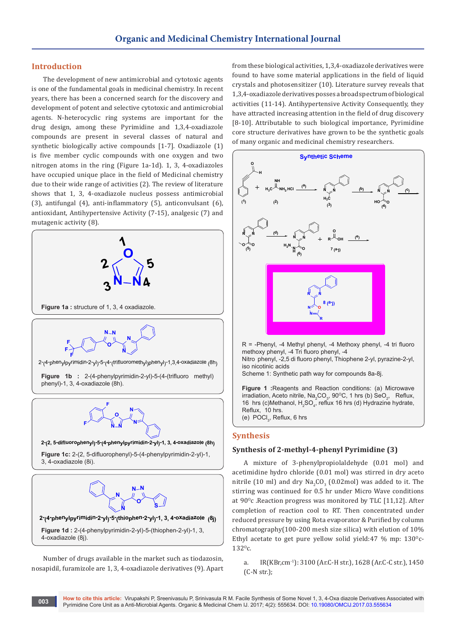### **Introduction**

The development of new antimicrobial and cytotoxic agents is one of the fundamental goals in medicinal chemistry. In recent years, there has been a concerned search for the discovery and development of potent and selective cytotoxic and antimicrobial agents. N-heterocyclic ring systems are important for the drug design, among these Pyrimidine and 1,3,4-oxadiazole compounds are present in several classes of natural and synthetic biologically active compounds [1-7]. Oxadiazole (1) is five member cyclic compounds with one oxygen and two nitrogen atoms in the ring (Figure 1a-1d). 1, 3, 4-oxadiazoles have occupied unique place in the field of Medicinal chemistry due to their wide range of activities (2). The review of literature shows that 1, 3, 4-oxadiazole nucleus possess antimicrobial (3), antifungal (4), anti-inflammatory (5), anticonvulsant (6), antioxidant, Antihypertensive Activity (7-15), analgesic (7) and mutagenic activity (8).



Number of drugs available in the market such as tiodazosin, nosapidil, furamizole are 1, 3, 4-oxadiazole derivatives (9). Apart from these biological activities, 1,3,4-oxadiazole derivatives were found to have some material applications in the field of liquid crystals and photosensitizer (10). Literature survey reveals that 1,3,4-oxadiazole derivatives posses a broad spectrum of biological activities (11-14). Antihypertensive Activity Consequently, they have attracted increasing attention in the field of drug discovery [8-10]. Attributable to such biological importance, Pyrimidine core structure derivatives have grown to be the synthetic goals of many organic and medicinal chemistry researchers.



R = -Phenyl, -4 Methyl phenyl, -4 Methoxy phenyl, -4 tri fluoro methoxy phenyl, -4 Tri fluoro phenyl, -4

Nitro phenyl, -2,5 di fluoro phenyl, Thiophene 2-yl, pyrazine-2-yl, iso nicotinic acids

Scheme 1: Synthetic path way for compounds 8a-8j.

**Figure 1 :**Reagents and Reaction conditions: (a) Microwave irradiation, Aceto nitrile, Na<sub>2</sub>CO<sub>3</sub>, 90<sup>o</sup>C, 1 hrs (b) SeO<sub>2</sub>, Reflux, 16 hrs (c)Methanol,  $H_2SO_4$ , reflux 16 hrs (d) Hydrazine hydrate, Reflux, 10 hrs. (e)  $\mathsf{POCl}_3$ , Reflux, 6 hrs

#### **Synthesis**

#### **Synthesis of 2-methyl-4-phenyl Pyrimidine (3)**

A mixture of 3-phenylpropiolaldehyde (0.01 mol) and acetimidine hydro chloride (0.01 mol) was stirred in dry aceto nitrile (10 ml) and dry  $\text{Na}_2\text{CO}_3$  (0.02mol) was added to it. The stirring was continued for 0.5 hr under Micro Wave conditions at  $90^{\circ}$ c. Reaction progress was monitored by TLC [11,12]. After completion of reaction cool to RT. Then concentrated under reduced pressure by using Rota evaporator & Purified by column chromatography(100-200 mesh size silica) with elution of 10% Ethyl acetate to get pure yellow solid yield:47 % mp:  $130^{\circ}$ c- $132^{\circ}$ c.

a. IR(KBr,cm-1): 3100 (Ar.C-H str.), 1628 (Ar.C-C str.), 1450 (C-N str.);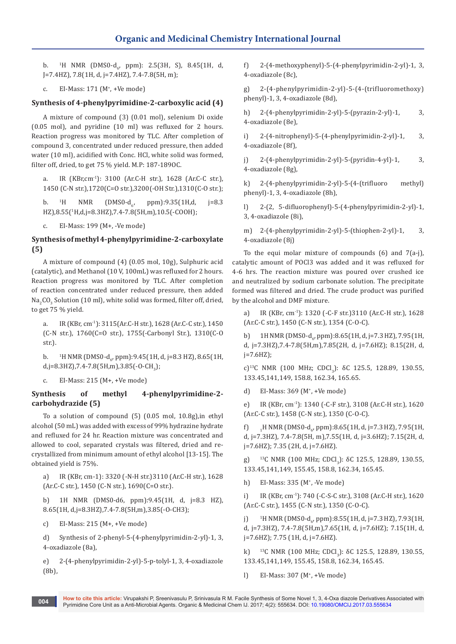b. <sup>1</sup>H NMR (DMS0-d<sub>6</sub>, ppm): 2.5(3H, S), 8.45(1H, d, J=7.4HZ), 7.8(1H, d, j=7.4HZ), 7.4-7.8(5H, m);

c. EI-Mass: 171 (M+ , +Ve mode)

## **Synthesis of 4-phenylpyrimidine-2-carboxylic acid (4)**

A mixture of compound (3) (0.01 mol), selenium Di oxide (0.05 mol), and pyridine (10 ml) was refluxed for 2 hours. Reaction progress was monitored by TLC. After completion of compound 3, concentrated under reduced pressure, then added water (10 ml), acidified with Conc. HCl, white solid was formed, filter off, dried, to get 75 % yield. M.P: 187-189OC.

a. IR (KBr,cm-1): 3100 (Ar.C-H str.), 1628 (Ar.C-C str.), 1450 (C-N str.),1720(C=O str.),3200(-OH Str.),1310(C-O str.);

 $h$  <sup>1</sup>H NMR  $(DMS0-d_6)$ ppm):9.35(1H,d, j=8.3 HZ),8.55(1 H,d,j=8.3HZ),7.4-7.8(5H,m),10.5(-COOH);

c. EI-Mass: 199 (M+, -Ve mode)

## **Synthesis of methyl 4-phenylpyrimidine-2-carboxylate (5)**

A mixture of compound (4) (0.05 mol, 10g), Sulphuric acid (catalytic), and Methanol (10 V, 100mL) was refluxed for 2 hours. Reaction progress was monitored by TLC. After completion of reaction concentrated under reduced pressure, then added  $\text{Na}_2\text{CO}_3$  Solution (10 ml), white solid was formed, filter off, dried, to get 75 % yield.

a. IR (KBr, cm-1): 3115(Ar.C-H str.), 1628 (Ar.C-C str.), 1450 (C-N str.), 1760(C=O str.), 1755(-Carbonyl Str.), 1310(C-O str.).

 $<sub>b</sub>$ .</sub> H NMR (DMS0-d6 , ppm):9.45(1H, d, j=8.3 HZ), 8.65(1H, d,j=8.3HZ),7.4-7.8(5H,m),3.85(-O-CH<sub>3</sub>);

c. EI-Mass: 215 (M+, +Ve mode)

## **Synthesis of methyl 4-phenylpyrimidine-2 carbohydrazide (5)**

To a solution of compound (5) (0.05 mol, 10.8g),in ethyl alcohol (50 mL) was added with excess of 99% hydrazine hydrate and refluxed for 24 hr. Reaction mixture was concentrated and allowed to cool, separated crystals was filtered, dried and recrystallized from minimum amount of ethyl alcohol [13-15]. The obtained yield is 75%.

a) IR (KBr, cm-1): 3320 (-N-H str.)3110 (Ar.C-H str.), 1628 (Ar.C-C str.), 1450 (C-N str.), 1690(C=O str.).

b) 1H NMR (DMS0-d6, ppm):9.45(1H, d, j=8.3 HZ), 8.65(1H, d,j=8.3HZ),7.4-7.8(5H,m),3.85(-O-CH3);

c) EI-Mass: 215 (M+, +Ve mode)

d) Synthesis of 2-phenyl-5-(4-phenylpyrimidin-2-yl)-1, 3, 4-oxadiazole (8a),

e) 2-(4-phenylpyrimidin-2-yl)-5-p-tolyl-1, 3, 4-oxadiazole (8b),

f) 2-(4-methoxyphenyl)-5-(4-phenylpyrimidin-2-yl)-1, 3, 4-oxadiazole (8c),

g) 2-(4-phenylpyrimidin-2-yl)-5-(4-(trifluoromethoxy) phenyl)-1, 3, 4-oxadiazole (8d),

h) 2-(4-phenylpyrimidin-2-yl)-5-(pyrazin-2-yl)-1, 3, 4-oxadiazole (8e),

i) 2-(4-nitrophenyl)-5-(4-phenylpyrimidin-2-yl)-1, 3, 4-oxadiazole (8f),

j) 2-(4-phenylpyrimidin-2-yl)-5-(pyridin-4-yl)-1, 3, 4-oxadiazole (8g),

k) 2-(4-phenylpyrimidin-2-yl)-5-(4-(trifluoro methyl) phenyl)-1, 3, 4-oxadiazole (8h),

l) 2-(2, 5-difluorophenyl)-5-(4-phenylpyrimidin-2-yl)-1, 3, 4-oxadiazole (8i),

m) 2-(4-phenylpyrimidin-2-yl)-5-(thiophen-2-yl)-1, 3, 4-oxadiazole (8j)

To the equi molar mixture of compounds  $(6)$  and  $7(a-j)$ , catalytic amount of POCl3 was added and it was refluxed for 4-6 hrs. The reaction mixture was poured over crushed ice and neutralized by sodium carbonate solution. The precipitate formed was filtered and dried. The crude product was purified by the alcohol and DMF mixture.

a) IR (KBr, cm-1): 1320 (-C-F str.)3110 (Ar.C-H str.), 1628 (Ar.C-C str.), 1450 (C-N str.), 1354 (C-O-C).

b) 1H NMR (DMS0-d<sub>6</sub>, ppm):8.65(1H, d, j=7.3 HZ), 7.95(1H, d, j=7.3HZ),7.4-7.8(5H,m),7.85(2H, d, j=7.6HZ); 8.15(2H, d, j=7.6HZ);

c)<sup>13</sup>C NMR (100 MHz; CDCl<sub>3</sub>): δC 125.5, 128.89, 130.55, 133.45,141,149, 158.8, 162.34, 165.65.

d) EI-Mass: 369 (M+ , +Ve mode)

e) IR (KBr, cm-1): 1340 (-C-F str.), 3108 (Ar.C-H str.), 1620 (Ar.C-C str.), 1458 (C-N str.), 1350 (C-O-C).

 $f$ H NMR (DMS0-d<sub>6</sub>, ppm):8.65(1H, d, j=7.3 HZ), 7.95(1H, d, j=7.3HZ), 7.4-7.8(5H, m),7.55(1H, d, j=3.6HZ); 7.15(2H, d, j=7.6HZ); 7.35 (2H, d, j=7.6HZ).

g) <sup>13</sup>C NMR (100 MHz; CDCl<sub>3</sub>):  $\delta$ C 125.5, 128.89, 130.55, 133.45,141,149, 155.45, 158.8, 162.34, 165.45.

h) EI-Mass: 335 (M<sup>+</sup>, -Ve mode)

i) IR (KBr, cm-1): 740 (-C-S-C str.), 3108 (Ar.C-H str.), 1620 (Ar.C-C str.), 1455 (C-N str.), 1350 (C-O-C).

j) H NMR (DMS0-d<sub>6</sub>, ppm):8.55(1H, d, j=7.3 HZ), 7.93(1H, d, j=7.3HZ), 7.4-7.8(5H,m),7.65(1H, d, j=7.6HZ); 7.15(1H, d, j=7.6HZ); 7.75 (1H, d, j=7.6HZ).

k) <sup>13</sup>C NMR (100 MHz; CDCl<sub>3</sub>): δC 125.5, 128.89, 130.55, 133.45,141,149, 155.45, 158.8, 162.34, 165.45.

l) EI-Mass: 307 (M+ , +Ve mode)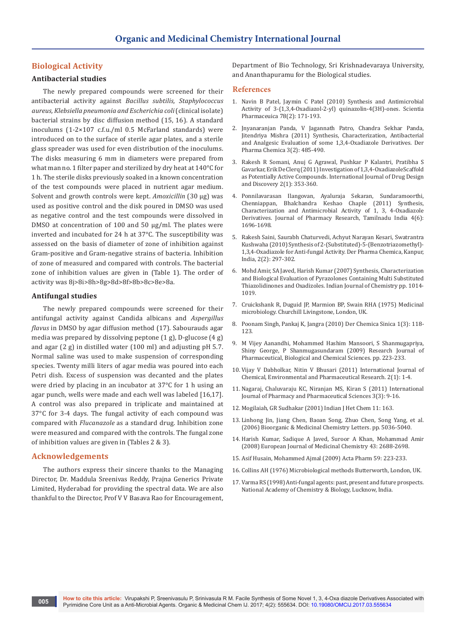## **Biological Activity**

#### **Antibacterial studies**

The newly prepared compounds were screened for their antibacterial activity against *Bacillus subtilis, Staphylococcus aureus, Klebsiella pneumonia and Escherichia coli* (clinical isolate) bacterial strains by disc diffusion method (15, 16). A standard inoculums (1-2×107 c.f.u./ml 0.5 McFarland standards) were introduced on to the surface of sterile agar plates, and a sterile glass spreader was used for even distribution of the inoculums. The disks measuring 6 mm in diameters were prepared from what man no. 1 filter paper and sterilized by dry heat at 140°C for 1 h. The sterile disks previously soaked in a known concentration of the test compounds were placed in nutrient agar medium. Solvent and growth controls were kept. *Amoxicillin* (30 µg) was used as positive control and the disk poured in DMSO was used as negative control and the test compounds were dissolved in DMSO at concentration of 100 and 50 µg/ml. The plates were inverted and incubated for 24 h at 37°C. The susceptibility was assessed on the basis of diameter of zone of inhibition against Gram-positive and Gram-negative strains of bacteria. Inhibition of zone of measured and compared with controls. The bacterial zone of inhibition values are given in (Table 1). The order of activity was 8j>8i>8h>8g>8d>8f>8b>8c>8e>8a.

#### **Antifungal studies**

The newly prepared compounds were screened for their antifungal activity against Candida albicans and *Aspergillus flavus* in DMSO by agar diffusion method (17). Sabourauds agar media was prepared by dissolving peptone (1 g), D-glucose (4 g) and agar (2 g) in distilled water (100 ml) and adjusting pH 5.7. Normal saline was used to make suspension of corresponding species. Twenty milli liters of agar media was poured into each Petri dish. Excess of suspension was decanted and the plates were dried by placing in an incubator at 37°C for 1 h using an agar punch, wells were made and each well was labeled [16,17]. A control was also prepared in triplicate and maintained at 37°C for 3-4 days. The fungal activity of each compound was compared with *Flucanazole* as a standard drug. Inhibition zone were measured and compared with the controls. The fungal zone of inhibition values are given in (Tables 2 & 3).

#### **Acknowledgements**

The authors express their sincere thanks to the Managing Director, Dr. Maddula Sreenivas Reddy, Prajna Generics Private Limited, Hyderabad for providing the spectral data. We are also thankful to the Director, Prof V V Basava Rao for Encouragement,

Department of Bio Technology, Sri Krishnadevaraya University, and Ananthapuramu for the Biological studies.

#### **References**

- 1. [Navin B Patel, Jaymin C Patel \(2010\) Synthesis and Antimicrobial](https://www.ncbi.nlm.nih.gov/pmc/articles/PMC3002796/)  [Activity of 3-\(1,3,4-Oxadiazol-2-yl\) quinazolin-4\(3H\)-ones. Scientia](https://www.ncbi.nlm.nih.gov/pmc/articles/PMC3002796/)  [Pharmaceuica 78\(2\): 171-193.](https://www.ncbi.nlm.nih.gov/pmc/articles/PMC3002796/)
- 2. [Jnyanaranjan Panda, V Jagannath Patro, Chandra Sekhar Panda,](https://www.researchgate.net/publication/286758302_Synthesis_characterization_antibacterial_and_analgesic_evaluation_of_some_134-oxadiazole_derivatives)  [Jitendriya Mishra \(2011\) Synthesis, Characterization, Antibacterial](https://www.researchgate.net/publication/286758302_Synthesis_characterization_antibacterial_and_analgesic_evaluation_of_some_134-oxadiazole_derivatives)  [and Analgesic Evaluation of some 1,3,4-Oxadiazole Derivatives. Der](https://www.researchgate.net/publication/286758302_Synthesis_characterization_antibacterial_and_analgesic_evaluation_of_some_134-oxadiazole_derivatives)  [Pharma Chemica 3\(2\): 485-490.](https://www.researchgate.net/publication/286758302_Synthesis_characterization_antibacterial_and_analgesic_evaluation_of_some_134-oxadiazole_derivatives)
- 3. [Rakesh R Somani, Anuj G Agrawal, Pushkar P Kalantri, Pratibha S](https://www.researchgate.net/publication/266459774_Investigation_of_1_3_4-Oxadiazole_Scaffold_as_Potentially_Active_Compounds)  [Gavarkar, Erik De Clerq \(2011\) Investigation of 1,3,4-OxadiazoleScaffold](https://www.researchgate.net/publication/266459774_Investigation_of_1_3_4-Oxadiazole_Scaffold_as_Potentially_Active_Compounds)  [as Potentially Active Compounds. International Journal of Drug Design](https://www.researchgate.net/publication/266459774_Investigation_of_1_3_4-Oxadiazole_Scaffold_as_Potentially_Active_Compounds)  [and Discovery 2\(1\): 353-360.](https://www.researchgate.net/publication/266459774_Investigation_of_1_3_4-Oxadiazole_Scaffold_as_Potentially_Active_Compounds)
- 4. Ponnilavarasan Ilangovan, Ayaluraja Sekaran, Sundaramoorthi, Chenniappan, Bhalchandra Keshao Chaple (2011) Synthesis, Characterization and Antimicrobial Activity of 1, 3, 4-Oxadiazole Derivatives. Journal of Pharmacy Research, Tamilnadu India 4(6): 1696-1698.
- 5. [Rakesh Saini, Saurabh Chaturvedi, Achyut Narayan Kesari, Swatrantra](http://www.derpharmachemica.com/abstract/synthesis-of-2substituted5benzotriazomethyl134oxadiazole-for-antifungal-activity-3810.html)  [Kushwaha \(2010\) Synthesis of 2-\(Substituted\)-5-\(Benzotriazomethyl\)-](http://www.derpharmachemica.com/abstract/synthesis-of-2substituted5benzotriazomethyl134oxadiazole-for-antifungal-activity-3810.html) [1,3,4-Oxadiazole for Anti-fungal Activity. Der Pharma Chemica, Kanpur,](http://www.derpharmachemica.com/abstract/synthesis-of-2substituted5benzotriazomethyl134oxadiazole-for-antifungal-activity-3810.html)  [India, 2\(2\): 297-302.](http://www.derpharmachemica.com/abstract/synthesis-of-2substituted5benzotriazomethyl134oxadiazole-for-antifungal-activity-3810.html)
- 6. [Mohd Amir, SA Javed, Harish Kumar \(2007\) Synthesis, Characterization](http://www.derpharmachemica.com/abstract/synthesis-characterization-and-biological-evaluation-of-pyrazolones-containing-multi-substituted-thiazolidinones-and-oxa-2142.html)  [and Biological Evaluation of Pyrazolones Containing Multi Substituted](http://www.derpharmachemica.com/abstract/synthesis-characterization-and-biological-evaluation-of-pyrazolones-containing-multi-substituted-thiazolidinones-and-oxa-2142.html)  [Thiazolidinones and Oxadizoles. Indian Journal of Chemistry pp. 1014-](http://www.derpharmachemica.com/abstract/synthesis-characterization-and-biological-evaluation-of-pyrazolones-containing-multi-substituted-thiazolidinones-and-oxa-2142.html) [1019.](http://www.derpharmachemica.com/abstract/synthesis-characterization-and-biological-evaluation-of-pyrazolones-containing-multi-substituted-thiazolidinones-and-oxa-2142.html)
- 7. Cruickshank R, Duguid JP, Marmion BP, Swain RHA (1975) Medicinal microbiology. Churchill Livingstone, London, UK.
- 8. Poonam Singh, Pankaj K, Jangra (2010) Der Chemica Sinica 1(3): 118- 123.
- 9. M Vijey Aanandhi, Mohammed Hashim Mansoori, S Shanmugapriya, Shiny George, P Shanmugasundaram (2009) Research Journal of Pharmaceutical, Biological and Chemical Sciences. pp. 223-233.
- 10. Vijay V Dabholkar, Nitin V Bhusari (2011) International Journal of Chemical, Environmental and Pharmaceutical Research. 2(1): 1-4.
- 11. Nagaraj, Chaluvaraju KC, Niranjan MS, Kiran S (2011) International Journal of Pharmacy and Pharmaceutical Sciences 3(3): 9-16.
- 12. Mogilaiah, GR Sudhakar (2001) Indian J Het Chem 11: 163.
- 13. Linhong Jin, Jiang Chen, Baoan Song, Zhuo Chen, Song Yang, et al. (2006) Bioorganic & Medicinal Chemistry Letters. pp. 5036-5040.
- 14. Harish Kumar, Sadique A Javed, Suroor A Khan, Mohammad Amir (2008) European Journal of Medicinal Chemistry 43: 2688-2698.
- 15. Asif Husain, Mohammed Ajmal (2009) Acta Pharm 59: 223-233.
- 16. Collins AH (1976) Microbiological methods Butterworth, London, UK.
- 17. Varma RS (1998) Anti-fungal agents: past, present and future prospects. National Academy of Chemistry & Biology, Lucknow, India.